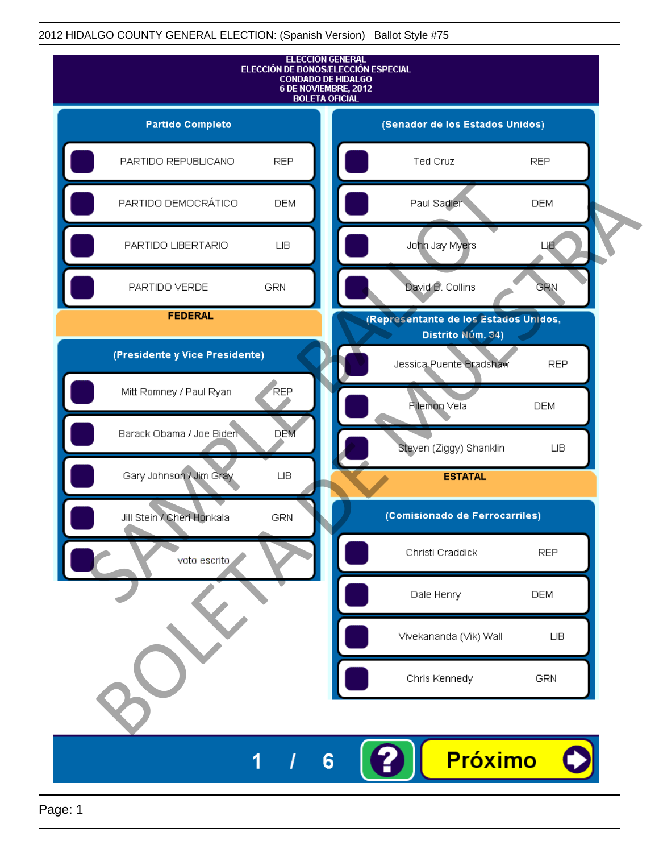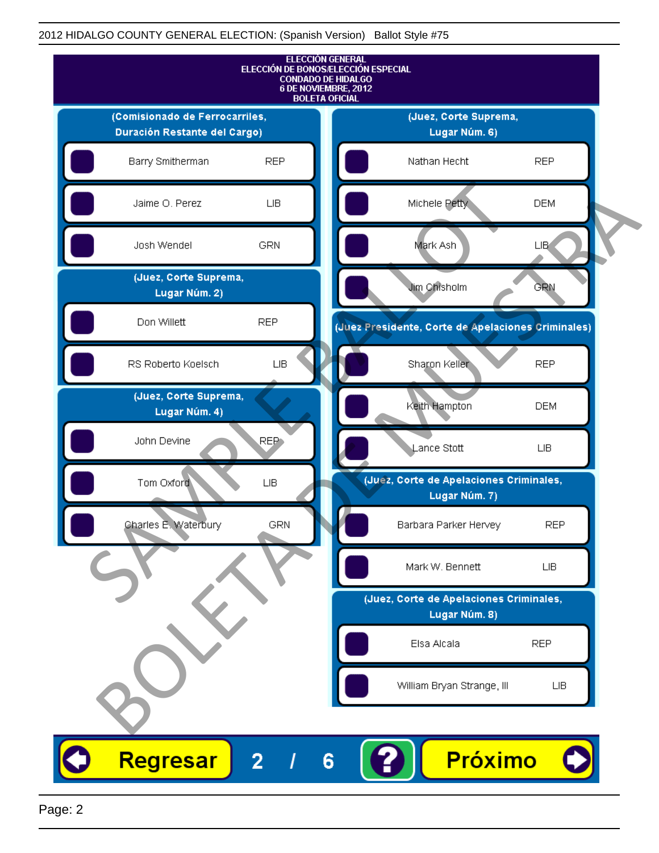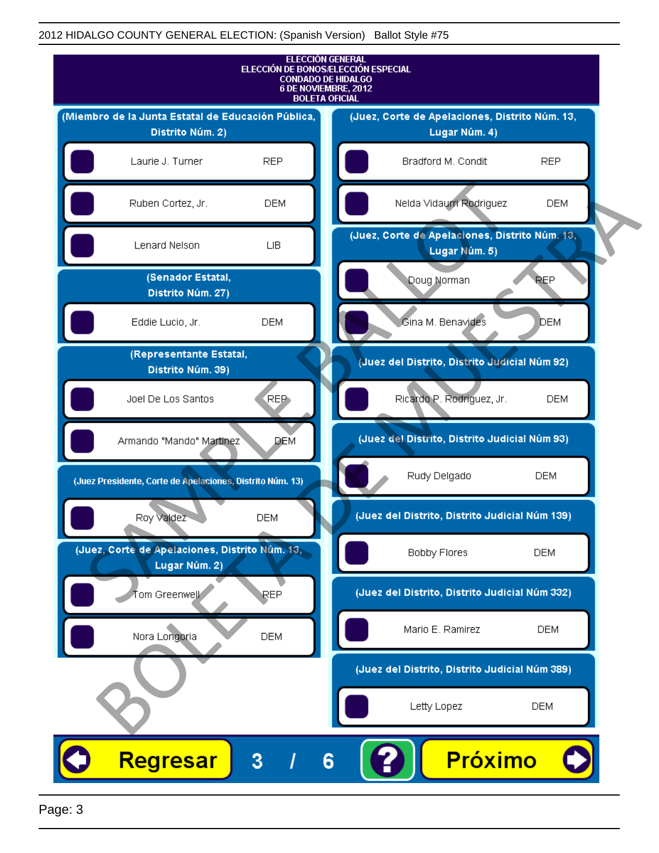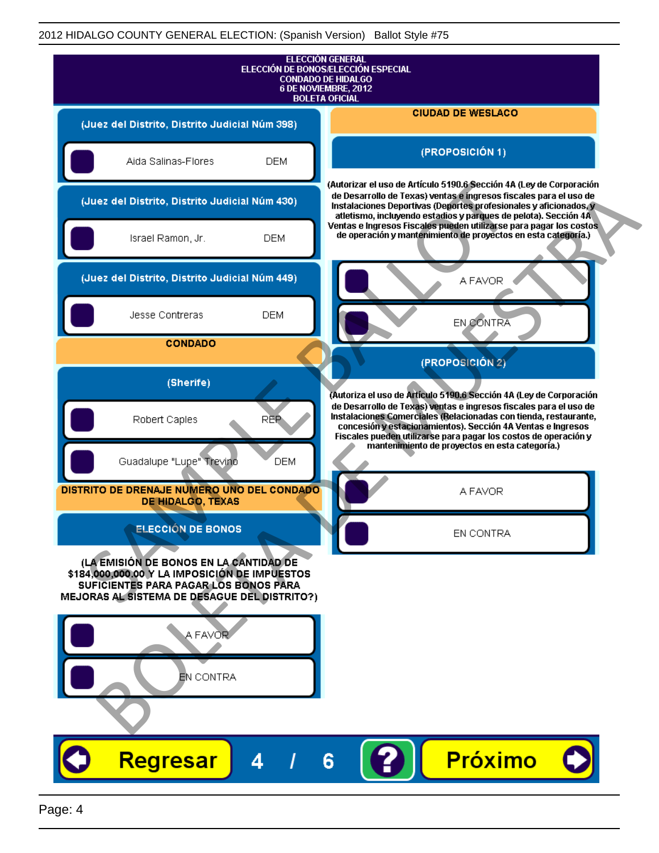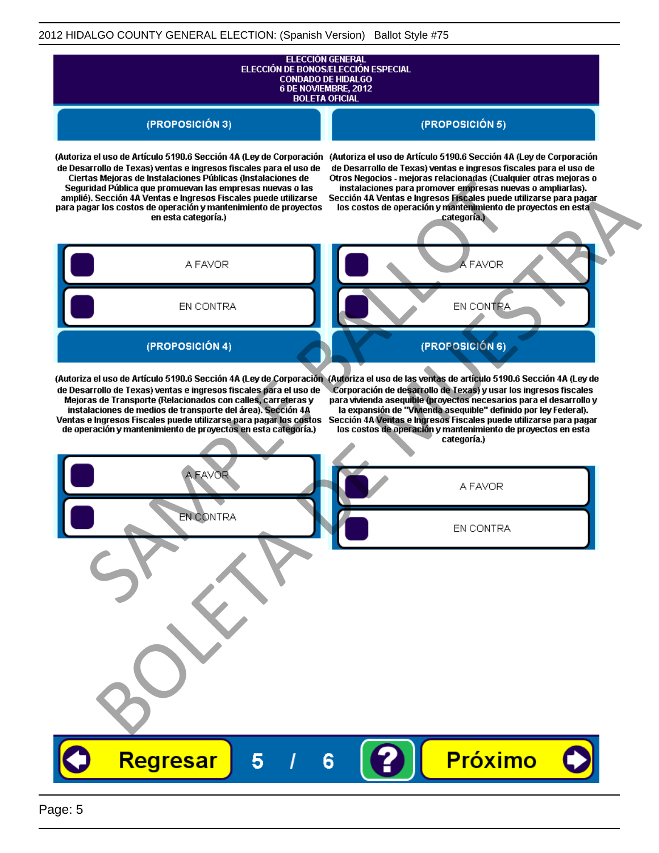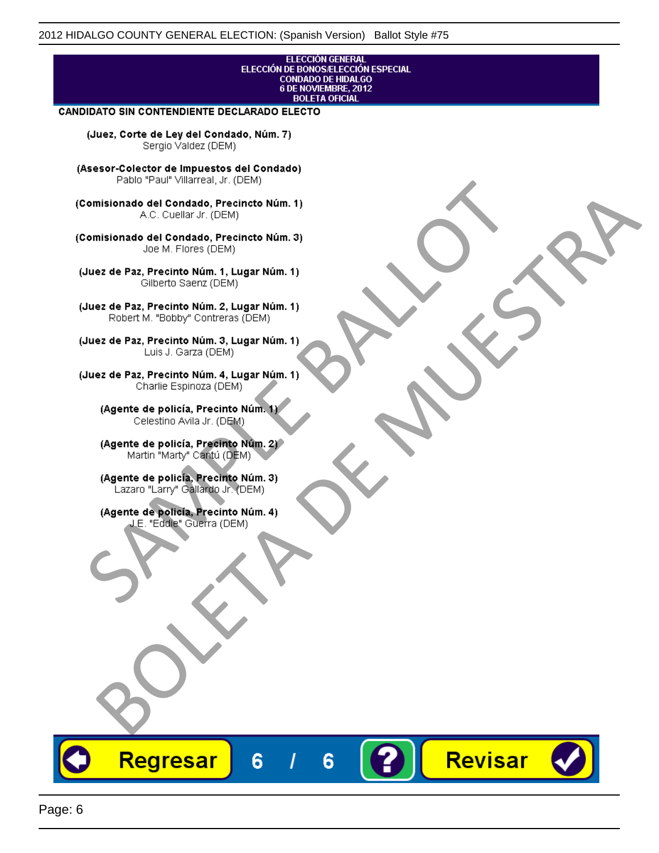# ELECCIÓN GENERAL<br>ELECCIÓN DE BONOS/ELECCIÓN ESPECIAL<br>CONDADO DE HIDALGO<br>6 DE NOVIEMBRE, 2012 **BOLETA OFICIAL**

Revisar

### **CANDIDATO SIN CONTENDIENTE DECLARADO ELECTO**

(Juez, Corte de Ley del Condado, Núm. 7) Sergio Valdez (DEM)

(Asesor-Colector de Impuestos del Condado)

Fallo Fall Willdrea, J.I. (DEM)<br>
Consistionado el Condado, Precincto Núm. 1)<br>
A.C. Cuellar Jr. (DEM)<br>
Ullez de Paz, Precinto Núm. 1)<br>
Juez de Paz, Precinto Núm. 1, Lugar Núm. 1)<br>
Gilberto Sentr (DEM)<br>
Robert M. "Bobby" Con misionado del Condiado, Precincto Núm. 1)<br>
Andro del Condiado, Precincto Núm. 3)<br>
ez de Paz, Precinto Núm. 21<br>
algo M. Picer Lo Saerz, (CIEM)<br>
algo M. Picer Lo Saerz, (CIEM)<br>
algo M. Picer Lo Saerz, (CIEM)<br>
ez de Paz, Prec

Regresar

6

6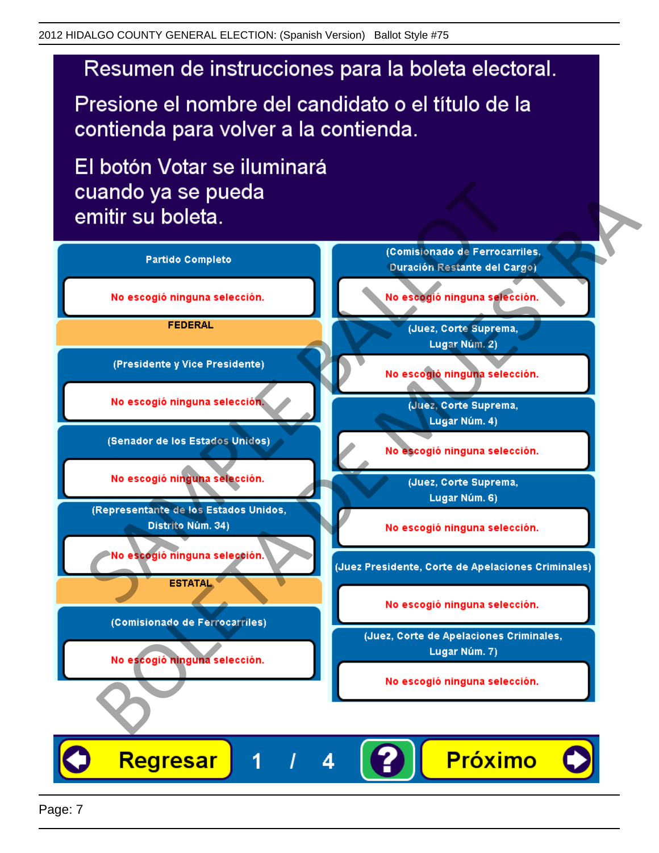Presione el nombre del candidato o el título de la contienda para volver a la contienda.

El botón Votar se iluminará

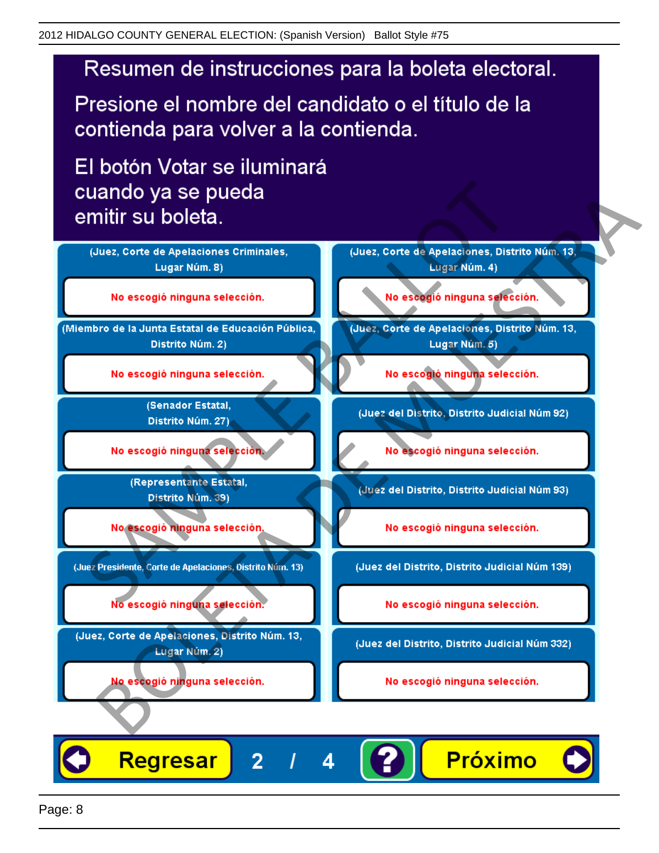Presione el nombre del candidato o el título de la contienda para volver a la contienda.

El botón Votar se iluminará



4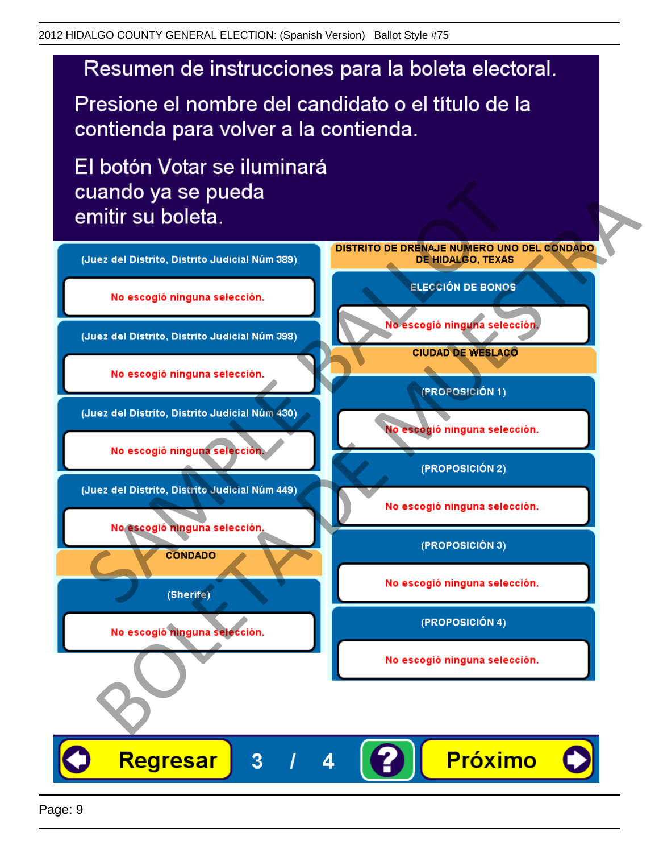Presione el nombre del candidato o el título de la contienda para volver a la contienda.

El botón Votar se iluminará